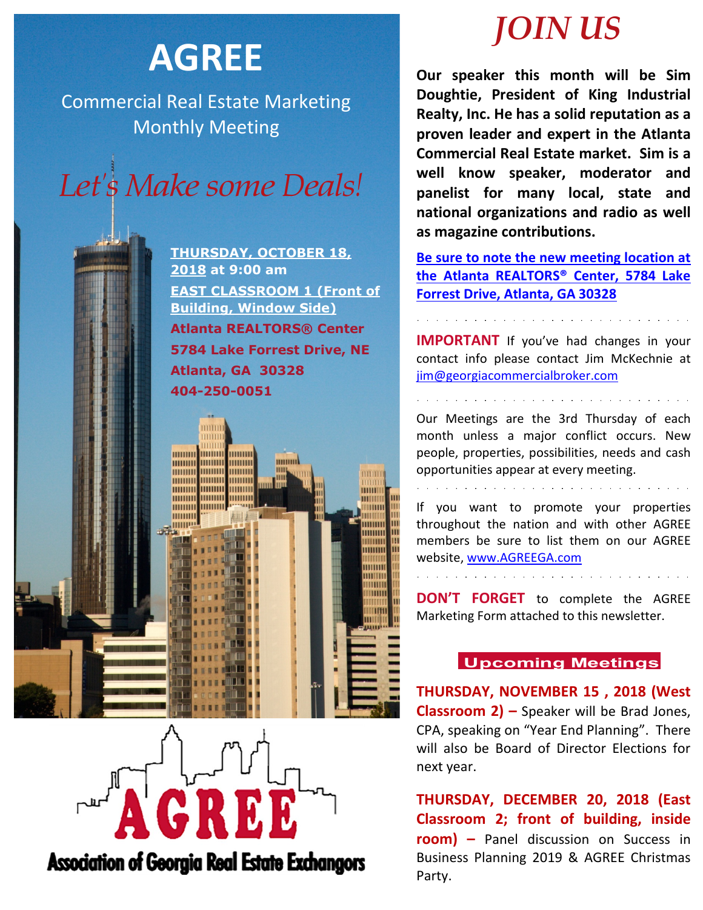## **AGREE**

Commercial Real Estate Marketing Monthly Meeting



**THURSDAY, OCTOBER 18, 2018 at 9:00 am EAST CLASSROOM 1 (Front of Building, Window Side) Atlanta REALTORS® Center 5784 Lake Forrest Drive, NE Atlanta, GA 30328 404-250-0051**

mmm

шшш

mum

HIIIIIII

mmm

THITITI

HHHHH

mmm

mmm **mm** 

**HIIIIIII HIIIIIII** 

mmm

mmm

mmm

mmm

mmm

munu

mmm

mmm

mmm

mmm шш



**Association of Georgia Real Estate Exchangors** 

# *JOIN US*

**Our speaker this month will be Sim Doughtie, President of King Industrial Realty, Inc. He has a solid reputation as a proven leader and expert in the Atlanta Commercial Real Estate market. Sim is a well know speaker, moderator and panelist for many local, state and national organizations and radio as well as magazine contributions.** 

**Be sure to note the new meeting location at the Atlanta REALTORS® Center, 5784 Lake Forrest Drive, Atlanta, GA 30328**

**IMPORTANT** If you've had changes in your contact info please contact Jim McKechnie at [jim@georgiacommercialbroker.com](mailto:jim@georgiacommercialbroker.com?subject=Changes%20to%20My%20Account)

Our Meetings are the 3rd Thursday of each month unless a major conflict occurs. New people, properties, possibilities, needs and cash opportunities appear at every meeting.

If you want to promote your properties throughout the nation and with other AGREE members be sure to list them on our AGREE website, www.AGREEGA.com

**DON'T FORGET** to complete the AGREE Marketing Form attached to this newsletter.

### **Upcoming Meetings**

**THURSDAY, NOVEMBER 15 , 2018 (West Classroom 2) –** Speaker will be Brad Jones, CPA, speaking on "Year End Planning". There will also be Board of Director Elections for next year.

**THURSDAY, DECEMBER 20, 2018 (East Classroom 2; front of building, inside room) –** Panel discussion on Success in Business Planning 2019 & AGREE Christmas Party.